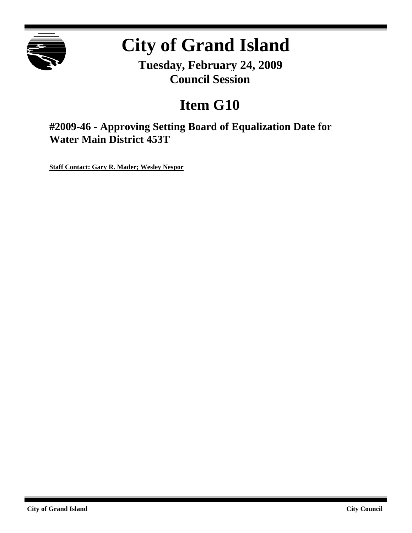

# **City of Grand Island**

**Tuesday, February 24, 2009 Council Session**

## **Item G10**

**#2009-46 - Approving Setting Board of Equalization Date for Water Main District 453T**

**Staff Contact: Gary R. Mader; Wesley Nespor**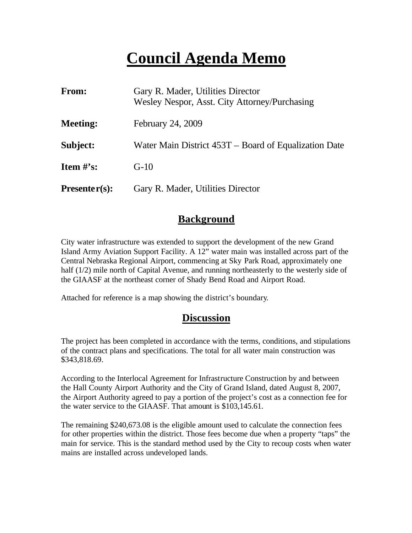## **Council Agenda Memo**

| From:                          | Gary R. Mader, Utilities Director<br>Wesley Nespor, Asst. City Attorney/Purchasing |
|--------------------------------|------------------------------------------------------------------------------------|
| <b>Meeting:</b>                | February 24, 2009                                                                  |
| Subject:                       | Water Main District 453T – Board of Equalization Date                              |
| <b>Item <math>\#</math>'s:</b> | $G-10$                                                                             |
| $Presenter(s):$                | Gary R. Mader, Utilities Director                                                  |

#### **Background**

City water infrastructure was extended to support the development of the new Grand Island Army Aviation Support Facility. A 12" water main was installed across part of the Central Nebraska Regional Airport, commencing at Sky Park Road, approximately one half (1/2) mile north of Capital Avenue, and running northeasterly to the westerly side of the GIAASF at the northeast corner of Shady Bend Road and Airport Road.

Attached for reference is a map showing the district's boundary.

#### **Discussion**

The project has been completed in accordance with the terms, conditions, and stipulations of the contract plans and specifications. The total for all water main construction was \$343,818.69.

According to the Interlocal Agreement for Infrastructure Construction by and between the Hall County Airport Authority and the City of Grand Island, dated August 8, 2007, the Airport Authority agreed to pay a portion of the project's cost as a connection fee for the water service to the GIAASF. That amount is \$103,145.61.

The remaining \$240,673.08 is the eligible amount used to calculate the connection fees for other properties within the district. Those fees become due when a property "taps" the main for service. This is the standard method used by the City to recoup costs when water mains are installed across undeveloped lands.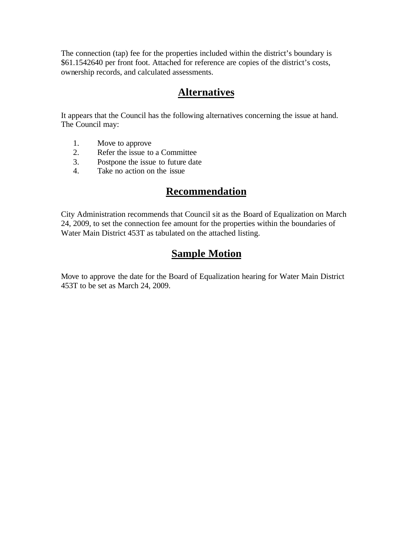The connection (tap) fee for the properties included within the district's boundary is \$61.1542640 per front foot. Attached for reference are copies of the district's costs, ownership records, and calculated assessments.

### **Alternatives**

It appears that the Council has the following alternatives concerning the issue at hand. The Council may:

- 1. Move to approve
- 2. Refer the issue to a Committee
- 3. Postpone the issue to future date
- 4. Take no action on the issue

#### **Recommendation**

City Administration recommends that Council sit as the Board of Equalization on March 24, 2009, to set the connection fee amount for the properties within the boundaries of Water Main District 453T as tabulated on the attached listing.

### **Sample Motion**

Move to approve the date for the Board of Equalization hearing for Water Main District 453T to be set as March 24, 2009.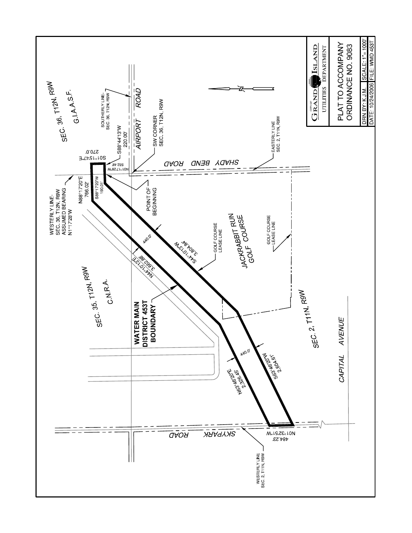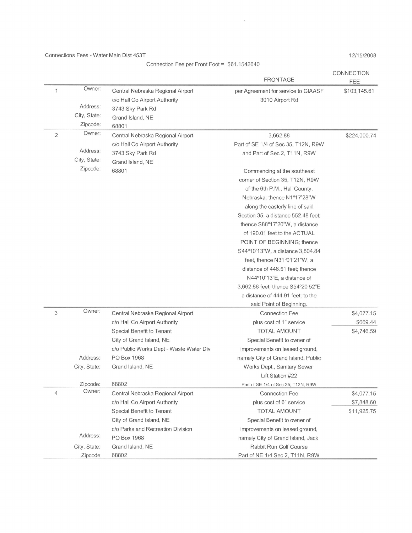Connections Fees - Water Main Dist 453T

Connection Fee per Front Foot = \$61.1542640

 $\alpha$ 

12/15/2008

|                |              |                                         | <b>FRONTAGE</b>                     | CONNECTION<br>FEE |
|----------------|--------------|-----------------------------------------|-------------------------------------|-------------------|
| 1              | Owner:       | Central Nebraska Regional Airport       | per Agreement for service to GIAASF | \$103,145.61      |
|                |              | c/o Hall Co Airport Authority           | 3010 Airport Rd                     |                   |
|                | Address:     | 3743 Sky Park Rd                        |                                     |                   |
|                | City, State: | Grand Island, NE                        |                                     |                   |
|                | Zipcode:     | 68801                                   |                                     |                   |
| $\overline{2}$ | Owner:       | Central Nebraska Regional Airport       | 3,662.88                            | \$224,000.74      |
|                |              | c/o Hall Co Airport Authority           | Part of SE 1/4 of Sec 35, T12N, R9W |                   |
|                | Address:     | 3743 Sky Park Rd                        | and Part of Sec 2, T11N, R9W        |                   |
|                | City, State: | Grand Island, NE                        |                                     |                   |
|                | Zipcode:     | 68801                                   | Commencing at the southeast         |                   |
|                |              |                                         | corner of Section 35, T12N, R9W     |                   |
|                |              |                                         | of the 6th P.M., Hall County,       |                   |
|                |              |                                         | Nebraska; thence N1º17'28"W         |                   |
|                |              |                                         | along the easterly line of said     |                   |
|                |              |                                         | Section 35, a distance 552.48 feet; |                   |
|                |              |                                         | thence S88°17'20"W, a distance      |                   |
|                |              |                                         | of 190.01 feet to the ACTUAL        |                   |
|                |              |                                         | POINT OF BEGINNING; thence          |                   |
|                |              |                                         | S44°10'13"W, a distance 3,804.84    |                   |
|                |              |                                         | feet, thence N31°01'21"W, a         |                   |
|                |              |                                         | distance of 446.51 feet; thence     |                   |
|                |              |                                         | N44°10'13"E, a distance of          |                   |
|                |              |                                         | 3,662.88 feet; thence S54°20'52"E   |                   |
|                |              |                                         | a distance of 444.91 feet; to the   |                   |
|                |              |                                         | said Point of Beginning.            |                   |
| 3              | Owner:       | Central Nebraska Regional Airport       | <b>Connection Fee</b>               | \$4,077.15        |
|                |              | c/o Hall Co Airport Authority           | plus cost of 1" service             | \$669.44          |
|                |              | Special Benefit to Tenant               | <b>TOTAL AMOUNT</b>                 | \$4,746.59        |
|                |              | City of Grand Island, NE                | Special Benefit to owner of         |                   |
|                |              | c/o Public Works Dept - Waste Water Div | improvements on leased ground,      |                   |
|                | Address:     | PO Box 1968                             | namely City of Grand Island, Public |                   |
|                | City, State: | Grand Island, NE                        | Works Dept., Sanitary Sewer         |                   |
|                |              |                                         | Lift Station #22                    |                   |
|                | Zipcode:     | 68802                                   | Part of SE 1/4 of Sec 35, T12N, R9W |                   |
| $\overline{4}$ | Owner:       | Central Nebraska Regional Airport       | <b>Connection Fee</b>               | \$4,077.15        |
|                |              | c/o Hall Co Airport Authority           | plus cost of 6" service             | \$7,848.60        |
|                |              | Special Benefit to Tenant               | <b>TOTAL AMOUNT</b>                 | \$11,925.75       |
|                |              | City of Grand Island, NE                | Special Benefit to owner of         |                   |
|                |              | c/o Parks and Recreation Division       | improvements on leased ground,      |                   |
|                | Address:     | PO Box 1968                             | namely City of Grand Island, Jack   |                   |
|                | City, State: | Grand Island, NE                        | <b>Rabbit Run Golf Course</b>       |                   |
|                | Zipcode      | 68802                                   | Part of NE 1/4 Sec 2, T11N, R9W     |                   |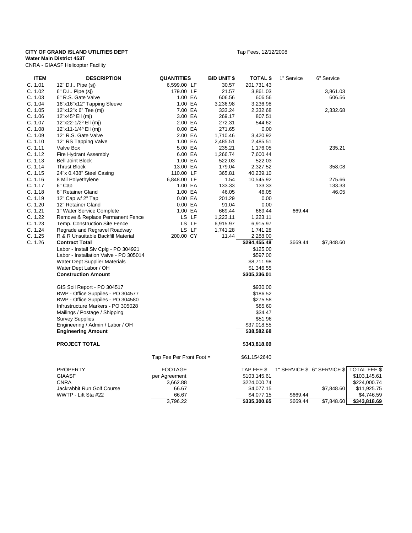#### **CITY OF GRAND ISLAND UTILITIES DEPT TABLE 2008** Tap Fees, 12/12/2008

**Water Main District 453T**

CNRA - GIAASF Helicopter Facility

| -- |  |  | .4 <sub>p</sub> |
|----|--|--|-----------------|
|    |  |  |                 |
|    |  |  |                 |
|    |  |  |                 |
|    |  |  |                 |

| <b>ITEM</b> | <b>DESCRIPTION</b>                     | <b>QUANTITIES</b>        | <b>BID UNIT \$</b> | <b>TOTAL \$</b> | 1" Service | 6" Service                  |              |
|-------------|----------------------------------------|--------------------------|--------------------|-----------------|------------|-----------------------------|--------------|
| C. 1.01     | 12" D.I Pipe (sj)                      | 6,599.00 LF              | 30.57              | 201,731.43      |            |                             |              |
| C. 1.02     | 6" D.I Pipe (sj)                       | 179.00 LF                | 21.57              | 3,861.03        |            | 3,861.03                    |              |
| C. 1.03     | 6" R.S. Gate Valve                     | 1.00 EA                  | 606.56             | 606.56          |            | 606.56                      |              |
| C. 1.04     | 16"x16"x12" Tapping Sleeve             | 1.00 EA                  | 3,236.98           | 3,236.98        |            |                             |              |
| C. 1.05     | 12"x12"x 6" Tee (mj)                   | 7.00 EA                  | 333.24             | 2,332.68        |            | 2,332.68                    |              |
| C. 1.06     | 12"x45° Ell (mj)                       | 3.00 EA                  | 269.17             | 807.51          |            |                             |              |
| C. 1.07     | 12"x22-1/2° Ell (mj)                   | 2.00 EA                  | 272.31             | 544.62          |            |                             |              |
| C. 1.08     | 12"x11-1/4° Ell (mj)                   | 0.00 EA                  | 271.65             | 0.00            |            |                             |              |
| C. 1.09     | 12" R.S. Gate Valve                    | 2.00 EA                  | 1,710.46           | 3,420.92        |            |                             |              |
| C. 1.10     | 12" RS Tapping Valve                   | 1.00 EA                  | 2,485.51           | 2,485.51        |            |                             |              |
| C. 1.11     | Valve Box                              | 5.00 EA                  | 235.21             | 1,176.05        |            | 235.21                      |              |
| C. 1.12     | Fire Hydrant Assembly                  | 6.00 EA                  | 1,266.74           | 7,600.44        |            |                             |              |
| C. 1.13     | <b>Bell Joint Block</b>                | 1.00 EA                  | 522.03             | 522.03          |            |                             |              |
| C. 1.14     | <b>Thrust Block</b>                    | 13.00 EA                 | 179.04             | 2,327.52        |            | 358.08                      |              |
| C. 1.15     | 24"x 0.438" Steel Casing               | 110.00 LF                | 365.81             | 40,239.10       |            |                             |              |
| C. 1.16     | 8 Mil Polyethylene                     | 6,848.00 LF              | 1.54               | 10,545.92       |            | 275.66                      |              |
| C. 1.17     | 6" Cap                                 | 1.00 EA                  | 133.33             | 133.33          |            | 133.33                      |              |
| C. 1.18     | 6" Retainer Gland                      | 1.00 EA                  | 46.05              | 46.05           |            | 46.05                       |              |
| C. 1.19     | 12" Cap w/ 2" Tap                      | 0.00 EA                  | 201.29             | 0.00            |            |                             |              |
| C. 1.20     |                                        |                          | 91.04              |                 |            |                             |              |
|             | 12" Retainer Gland                     | 0.00 EA                  |                    | 0.00            |            |                             |              |
| C. 1.21     | 1" Water Service Complete              | 1.00 EA                  | 669.44             | 669.44          | 669.44     |                             |              |
| C. 1.22     | Remove & Replace Permanent Fence       | LS LF                    | 1,223.11           | 1,223.11        |            |                             |              |
| C. 1.23     | Temp. Construction Site Fence          | LS LF                    | 6,915.97           | 6,915.97        |            |                             |              |
| C. 1.24     | Regrade and Regravel Roadway           | LS LF                    | 1,741.28           | 1,741.28        |            |                             |              |
| C. 1.25     | R & R Unsuitable Backfill Material     | 200.00 CY                | 11.44              | 2,288.00        |            |                             |              |
| C. 1.26     | <b>Contract Total</b>                  |                          |                    | \$294,455.48    | \$669.44   | \$7,848.60                  |              |
|             | Labor - Install Slv Cplg - PO 304921   |                          |                    | \$125.00        |            |                             |              |
|             | Labor - Installation Valve - PO 305014 |                          |                    | \$597.00        |            |                             |              |
|             | Water Dept Supplier Materials          |                          |                    | \$8,711.98      |            |                             |              |
|             | Water Dept Labor / OH                  |                          |                    | \$1,346.55      |            |                             |              |
|             | <b>Construction Amount</b>             |                          |                    | \$305,236.01    |            |                             |              |
|             | GIS Soil Report - PO 304517            |                          |                    | \$930.00        |            |                             |              |
|             | BWP - Office Suppiles - PO 304577      |                          |                    | \$186.52        |            |                             |              |
|             | BWP - Office Suppiles - PO 304580      |                          |                    | \$275.58        |            |                             |              |
|             | Infrustructure Markers - PO 305028     |                          |                    | \$85.60         |            |                             |              |
|             | Mailings / Postage / Shipping          |                          |                    | \$34.47         |            |                             |              |
|             | <b>Survey Supplies</b>                 |                          |                    | \$51.96         |            |                             |              |
|             | Engineering / Admin / Labor / OH       |                          |                    | \$37,018.55     |            |                             |              |
|             | <b>Engineering Amount</b>              |                          |                    | \$38,582.68     |            |                             |              |
|             | <b>PROJECT TOTAL</b>                   |                          |                    | \$343,818.69    |            |                             |              |
|             |                                        | Tap Fee Per Front Foot = |                    | \$61.1542640    |            |                             |              |
|             | <b>PROPERTY</b>                        | <b>FOOTAGE</b>           |                    | TAP FEE \$      |            | 1" SERVICE \$ 6" SERVICE \$ | TOTAL FEE \$ |
|             | <b>GIAASF</b>                          | per Agreement            |                    | \$103,145.61    |            |                             | \$103,145.61 |
|             | <b>CNRA</b>                            | 3,662.88                 |                    | \$224,000.74    |            |                             | \$224,000.74 |
|             | Jackrabbit Run Golf Course             | 66.67                    |                    | \$4,077.15      |            | \$7,848.60                  | \$11,925.75  |
|             | WWTP - Lift Sta #22                    | 66.67                    |                    | \$4,077.15      | \$669.44   |                             | \$4,746.59   |
|             |                                        | 3,796.22                 |                    | \$335,300.65    | \$669.44   | \$7,848.60                  | \$343,818.69 |

3,796.22 **\$335,300.65** \$669.44 \$7,848.60 **\$343,818.69**